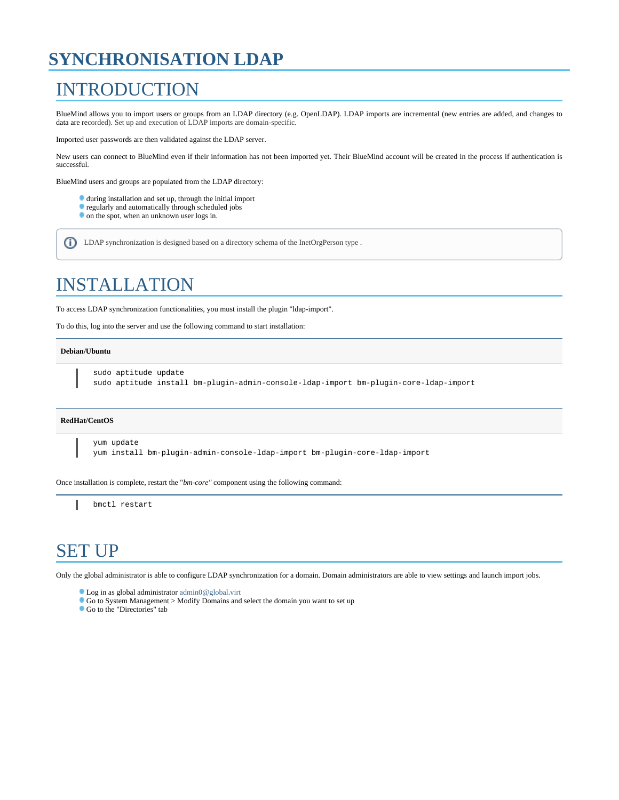## **SYNCHRONISATION LDAP**

## INTRODUCTION

BlueMind allows you to import users or groups from an LDAP directory (e.g. OpenLDAP). LDAP imports are incremental (new entries are added, and changes to data are recorded). Set up and execution of LDAP imports are domain-specific.

Imported user passwords are then validated against the LDAP server.

New users can connect to BlueMind even if their information has not been imported yet. Their BlueMind account will be created in the process if authentication is successful.

BlueMind users and groups are populated from the LDAP directory:

- during installation and set up, through the initial import
- regularly and automatically through scheduled jobs
- on the spot, when an unknown user logs in.

G) LDAP synchronization is designed based on a directory schema of the InetOrgPerson type .

## INSTALLATION

To access LDAP synchronization functionalities, you must install the plugin "ldap-import".

To do this, log into the server and use the following command to start installation:

### **Debian/Ubuntu**

```
sudo aptitude update
sudo aptitude install bm-plugin-admin-console-ldap-import bm-plugin-core-ldap-import
```
#### **RedHat/CentOS**

yum update yum install bm-plugin-admin-console-ldap-import bm-plugin-core-ldap-import

Once installation is complete, restart the "*bm-core"* component using the following command:

bmctl restart

### SET UP

П

Only the global administrator is able to configure LDAP synchronization for a domain. Domain administrators are able to view settings and launch import jobs.

- Log in as global administrator [admin0@global.virt](mailto:globaladmin0@global.virt)
- Go to System Management > Modify Domains and select the domain you want to set up
- Go to the "Directories" tab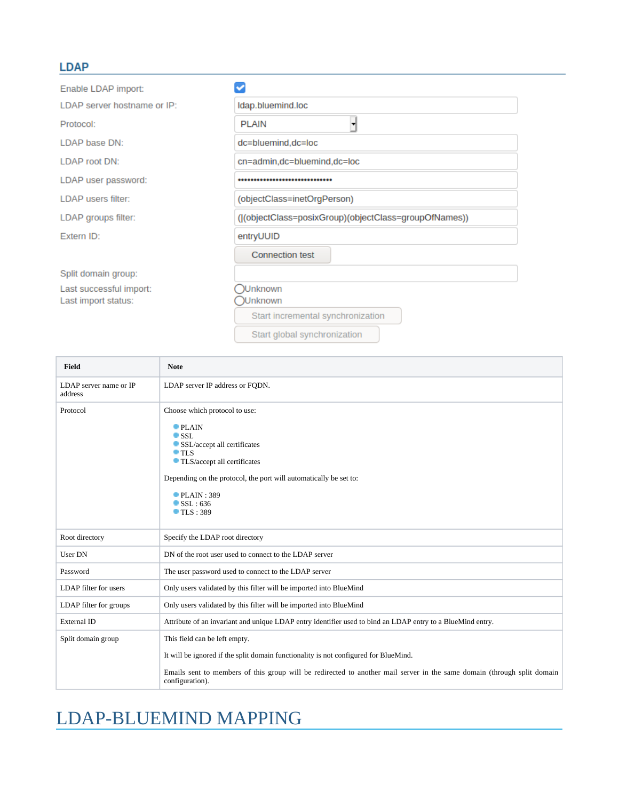### **LDAP**

| Enable LDAP import:         |                                                       |
|-----------------------------|-------------------------------------------------------|
| LDAP server hostname or IP: | Idap.bluemind.loc                                     |
| Protocol:                   | <b>PLAIN</b>                                          |
| LDAP base DN:               | dc=bluemind,dc=loc                                    |
| LDAP root DN:               | cn=admin,dc=bluemind,dc=loc                           |
| LDAP user password:         |                                                       |
| LDAP users filter:          | (objectClass=inetOrgPerson)                           |
| LDAP groups filter:         | (((objectClass=posixGroup)(objectClass=groupOfNames)) |
| Extern ID:                  | entryUUID                                             |
|                             | <b>Connection test</b>                                |
| Split domain group:         |                                                       |
| Last successful import:     | )Unknown                                              |
| Last import status:         | Unknown                                               |
|                             | Start incremental synchronization                     |
|                             | Start global synchronization                          |

 $\overline{\phantom{0}}$ 

| <b>Field</b>                      | <b>Note</b>                                                                                                                                                                                                                                                                                     |
|-----------------------------------|-------------------------------------------------------------------------------------------------------------------------------------------------------------------------------------------------------------------------------------------------------------------------------------------------|
| LDAP server name or IP<br>address | LDAP server IP address or FQDN.                                                                                                                                                                                                                                                                 |
| Protocol                          | Choose which protocol to use:<br><b>PLAIN</b><br>$\blacksquare$ SSL.<br>SSL/accept all certificates<br>$\blacksquare$ TLS<br>• TLS/accept all certificates<br>Depending on the protocol, the port will automatically be set to:<br>$\blacksquare$ PLAIN : 389<br>$\bullet$ SSL: 636<br>TLS: 389 |
| Root directory                    | Specify the LDAP root directory                                                                                                                                                                                                                                                                 |
| User DN                           | DN of the root user used to connect to the LDAP server                                                                                                                                                                                                                                          |
| Password                          | The user password used to connect to the LDAP server                                                                                                                                                                                                                                            |
| LDAP filter for users             | Only users validated by this filter will be imported into BlueMind                                                                                                                                                                                                                              |
| LDAP filter for groups            | Only users validated by this filter will be imported into BlueMind                                                                                                                                                                                                                              |
| <b>External ID</b>                | Attribute of an invariant and unique LDAP entry identifier used to bind an LDAP entry to a BlueMind entry.                                                                                                                                                                                      |
| Split domain group                | This field can be left empty.                                                                                                                                                                                                                                                                   |
|                                   | It will be ignored if the split domain functionality is not configured for BlueMind.                                                                                                                                                                                                            |
|                                   | Emails sent to members of this group will be redirected to another mail server in the same domain (through split domain<br>configuration).                                                                                                                                                      |

# LDAP-BLUEMIND MAPPING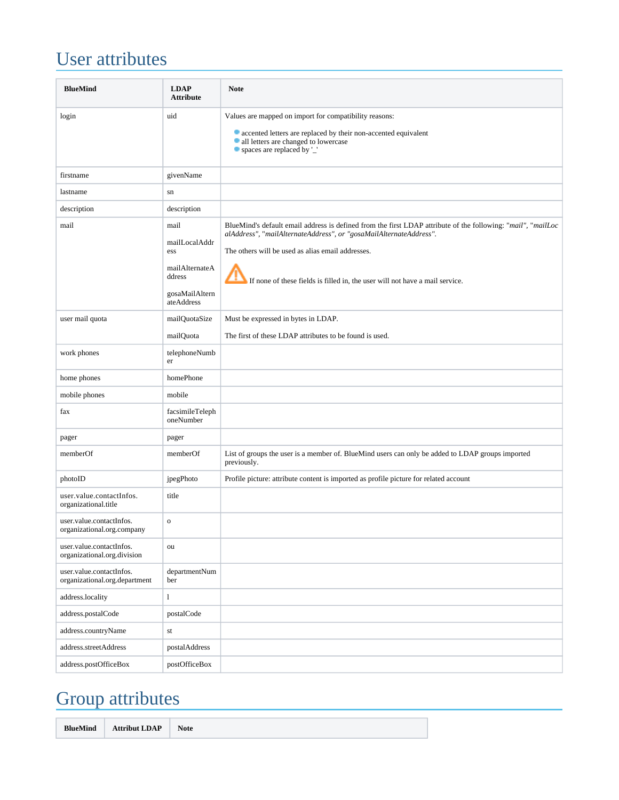# User attributes

| <b>BlueMind</b>                                           | <b>LDAP</b><br><b>Attribute</b>                                                          | <b>Note</b>                                                                                                                                                                                                                                                                                                             |
|-----------------------------------------------------------|------------------------------------------------------------------------------------------|-------------------------------------------------------------------------------------------------------------------------------------------------------------------------------------------------------------------------------------------------------------------------------------------------------------------------|
| login                                                     | uid                                                                                      | Values are mapped on import for compatibility reasons:<br>• accented letters are replaced by their non-accented equivalent<br>all letters are changed to lowercase<br>spaces are replaced by '_'                                                                                                                        |
| firstname                                                 | givenName                                                                                |                                                                                                                                                                                                                                                                                                                         |
| lastname                                                  | ${\rm sn}$                                                                               |                                                                                                                                                                                                                                                                                                                         |
| description                                               | description                                                                              |                                                                                                                                                                                                                                                                                                                         |
| mail                                                      | mail<br>mailLocalAddr<br>ess<br>mailAlternateA<br>ddress<br>gosaMailAltern<br>ateAddress | BlueMind's default email address is defined from the first LDAP attribute of the following: "mail", "mailLoc<br>alAddress", "mailAlternateAddress", or "gosaMailAlternateAddress".<br>The others will be used as alias email addresses.<br>If none of these fields is filled in, the user will not have a mail service. |
| user mail quota                                           | mailQuotaSize<br>mailQuota                                                               | Must be expressed in bytes in LDAP.<br>The first of these LDAP attributes to be found is used.                                                                                                                                                                                                                          |
| work phones                                               | telephoneNumb<br>er                                                                      |                                                                                                                                                                                                                                                                                                                         |
| home phones                                               | homePhone                                                                                |                                                                                                                                                                                                                                                                                                                         |
| mobile phones                                             | mobile                                                                                   |                                                                                                                                                                                                                                                                                                                         |
| fax                                                       | facsimileTeleph<br>oneNumber                                                             |                                                                                                                                                                                                                                                                                                                         |
| pager                                                     | pager                                                                                    |                                                                                                                                                                                                                                                                                                                         |
| memberOf                                                  | memberOf                                                                                 | List of groups the user is a member of. BlueMind users can only be added to LDAP groups imported<br>previously.                                                                                                                                                                                                         |
| photoID                                                   | jpegPhoto                                                                                | Profile picture: attribute content is imported as profile picture for related account                                                                                                                                                                                                                                   |
| user.value.contactInfos.<br>organizational.title          | title                                                                                    |                                                                                                                                                                                                                                                                                                                         |
| user.value.contactInfos.<br>organizational.org.company    | $\mathbf O$                                                                              |                                                                                                                                                                                                                                                                                                                         |
| user.value.contactInfos.<br>organizational.org.division   | ou                                                                                       |                                                                                                                                                                                                                                                                                                                         |
| user.value.contactInfos.<br>organizational.org.department | departmentNum<br>ber                                                                     |                                                                                                                                                                                                                                                                                                                         |
| address.locality                                          | $\mathbf{1}$                                                                             |                                                                                                                                                                                                                                                                                                                         |
| address.postalCode                                        | postalCode                                                                               |                                                                                                                                                                                                                                                                                                                         |
| address.countryName                                       | st                                                                                       |                                                                                                                                                                                                                                                                                                                         |
| address.streetAddress                                     | postalAddress                                                                            |                                                                                                                                                                                                                                                                                                                         |
| address.postOfficeBox                                     | postOfficeBox                                                                            |                                                                                                                                                                                                                                                                                                                         |

# Group attributes

**BlueMind Attribut LDAP Note**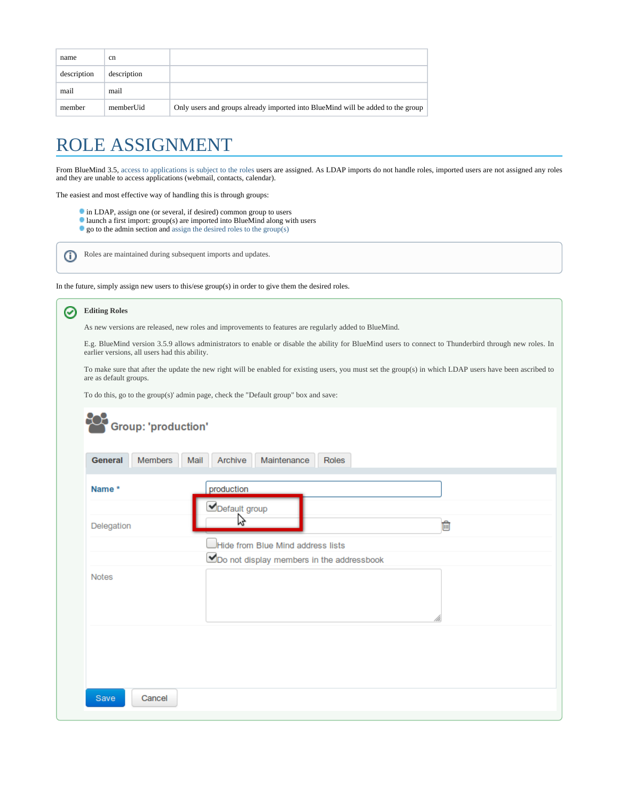| name        | cn          |                                                                                 |
|-------------|-------------|---------------------------------------------------------------------------------|
| description | description |                                                                                 |
| mail        | mail        |                                                                                 |
| member      | memberUid   | Only users and groups already imported into BlueMind will be added to the group |

# ROLE ASSIGNMENT

From BlueMind 3.5, [access to applications is subject to the roles](https://forge.bluemind.net/confluence/display/BM35/Administration+des+utilisateurs) users are assigned. As LDAP imports do not handle roles, imported users are not assigned any roles and they are unable to access applications (webmail, contacts, calendar).

The easiest and most effective way of handling this is through groups:

- in LDAP, assign one (or several, if desired) common group to users
- launch a first import: group(s) are imported into BlueMind along with users
- go to the admin section and [assign the desired roles to the group\(s\)](https://forge.bluemind.net/confluence/display/BM35/Administration+des+groupes#Administrationdesgroupes-Gestiondesgroupes-Roles)

| Roles are maintained during subsequent imports and updates. |
|-------------------------------------------------------------|
|                                                             |

In the future, simply assign new users to this/ese group(s) in order to give them the desired roles.

| <b>Editing Roles</b>                                                                                                                                                                                   |  |  |  |  |  |
|--------------------------------------------------------------------------------------------------------------------------------------------------------------------------------------------------------|--|--|--|--|--|
| As new versions are released, new roles and improvements to features are regularly added to BlueMind.                                                                                                  |  |  |  |  |  |
| E.g. BlueMind version 3.5.9 allows administrators to enable or disable the ability for BlueMind users to connect to Thunderbird through new roles. In<br>earlier versions, all users had this ability. |  |  |  |  |  |
| To make sure that after the update the new right will be enabled for existing users, you must set the group(s) in which LDAP users have been ascribed to<br>are as default groups.                     |  |  |  |  |  |
| To do this, go to the group(s)' admin page, check the "Default group" box and save:                                                                                                                    |  |  |  |  |  |
| <b>Group: 'production'</b>                                                                                                                                                                             |  |  |  |  |  |
| <b>General</b><br>Members<br>Archive<br>Maintenance<br>Mail<br>Roles                                                                                                                                   |  |  |  |  |  |
|                                                                                                                                                                                                        |  |  |  |  |  |
| Name *<br>production                                                                                                                                                                                   |  |  |  |  |  |
| Default group                                                                                                                                                                                          |  |  |  |  |  |
| 侖<br>Delegation                                                                                                                                                                                        |  |  |  |  |  |
| Hide from Blue Mind address lists                                                                                                                                                                      |  |  |  |  |  |
| Do not display members in the addressbook                                                                                                                                                              |  |  |  |  |  |
| <b>Notes</b>                                                                                                                                                                                           |  |  |  |  |  |
|                                                                                                                                                                                                        |  |  |  |  |  |
|                                                                                                                                                                                                        |  |  |  |  |  |
|                                                                                                                                                                                                        |  |  |  |  |  |
|                                                                                                                                                                                                        |  |  |  |  |  |
| Cancel<br>Save                                                                                                                                                                                         |  |  |  |  |  |
|                                                                                                                                                                                                        |  |  |  |  |  |